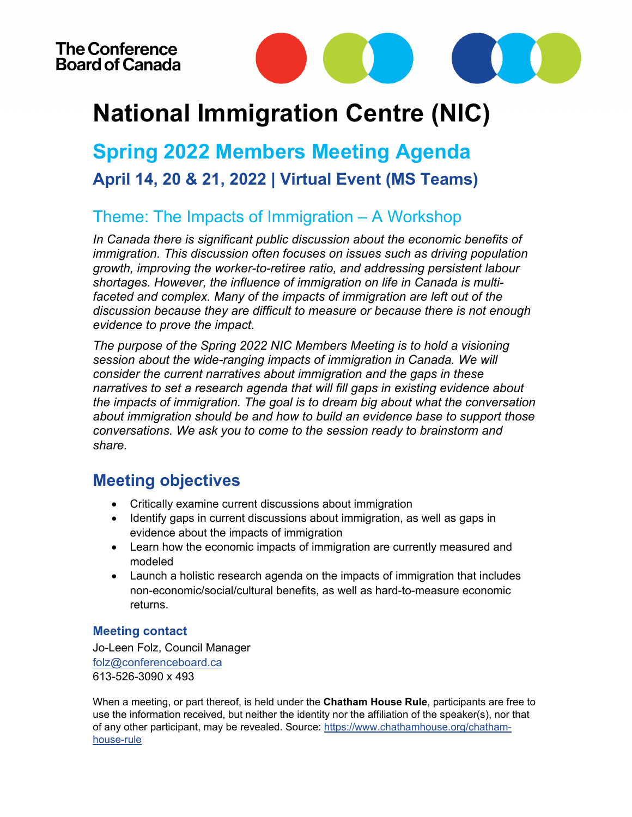

# **National Immigration Centre (NIC)**

**Spring 2022 Members Meeting Agenda April 14, 20 & 21, 2022 | Virtual Event (MS Teams)**

### Theme: The Impacts of Immigration – A Workshop

*In Canada there is significant public discussion about the economic benefits of immigration. This discussion often focuses on issues such as driving population growth, improving the worker-to-retiree ratio, and addressing persistent labour shortages. However, the influence of immigration on life in Canada is multi*faceted and complex. Many of the impacts of immigration are left out of the *discussion because they are difficult to measure or because there is not enough evidence to prove the impact.* 

*The purpose of the Spring 2022 NIC Members Meeting is to hold a visioning session about the wide-ranging impacts of immigration in Canada. We will consider the current narratives about immigration and the gaps in these narratives to set a research agenda that will fill gaps in existing evidence about the impacts of immigration. The goal is to dream big about what the conversation about immigration should be and how to build an evidence base to support those conversations. We ask you to come to the session ready to brainstorm and share.*

### **Meeting objectives**

- Critically examine current discussions about immigration
- Identify gaps in current discussions about immigration, as well as gaps in evidence about the impacts of immigration
- Learn how the economic impacts of immigration are currently measured and modeled
- Launch a holistic research agenda on the impacts of immigration that includes non-economic/social/cultural benefits, as well as hard-to-measure economic returns.

#### **Meeting contact**

Jo-Leen Folz, Council Manager [folz@conferenceboard.ca](mailto:folz@conferenceboard.ca) 613-526-3090 x 493

When a meeting, or part thereof, is held under the **Chatham House Rule**, participants are free to use the information received, but neither the identity nor the affiliation of the speaker(s), nor that of any other participant, may be revealed. Source: [https://www.chathamhouse.org/chatham](https://www.chathamhouse.org/chatham-house-rule)[house-rule](https://www.chathamhouse.org/chatham-house-rule)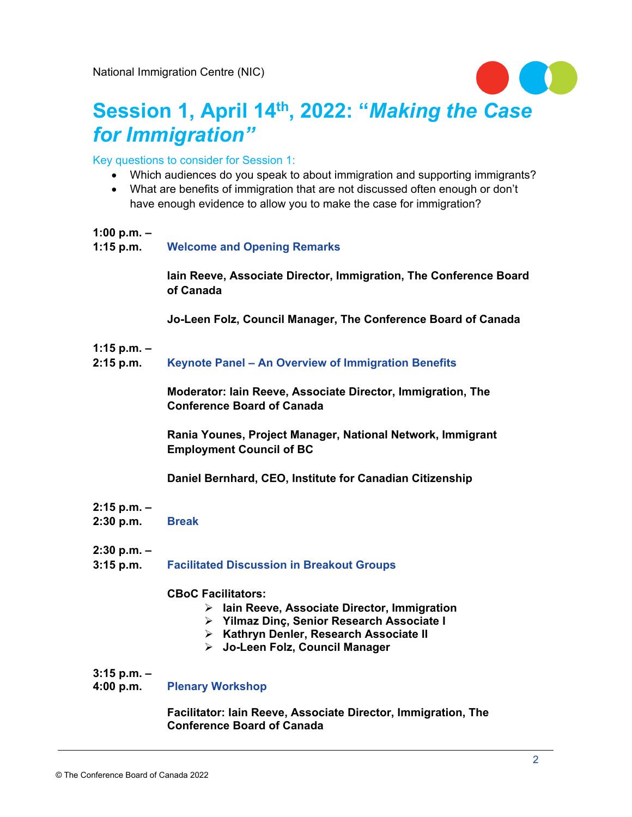

## **Session 1, April 14th , 2022: "***Making the Case for Immigration"*

Key questions to consider for Session 1:

- Which audiences do you speak to about immigration and supporting immigrants?
- What are benefits of immigration that are not discussed often enough or don't have enough evidence to allow you to make the case for immigration?

#### **1:00 p.m. –**

**1:15 p.m. Welcome and Opening Remarks**

**Iain Reeve, Associate Director, Immigration, The Conference Board of Canada**

**Jo-Leen Folz, Council Manager, The Conference Board of Canada**

#### **1:15 p.m. –**

**2:15 p.m. Keynote Panel – An Overview of Immigration Benefits**

**Moderator: Iain Reeve, Associate Director, Immigration, The Conference Board of Canada**

**Rania Younes, Project Manager, National Network, Immigrant Employment Council of BC**

**Daniel Bernhard, CEO, Institute for Canadian Citizenship**

- **2:15 p.m. –**
- **2:30 p.m. Break**

**2:30 p.m. –**

**3:15 p.m. Facilitated Discussion in Breakout Groups**

#### **CBoC Facilitators:**

- **Iain Reeve, Associate Director, Immigration**
- **Yilmaz Dinç, Senior Research Associate I**
- **Kathryn Denler, Research Associate II**
- **Jo-Leen Folz, Council Manager**

**3:15 p.m. –**

#### **4:00 p.m. Plenary Workshop**

**Facilitator: Iain Reeve, Associate Director, Immigration, The Conference Board of Canada**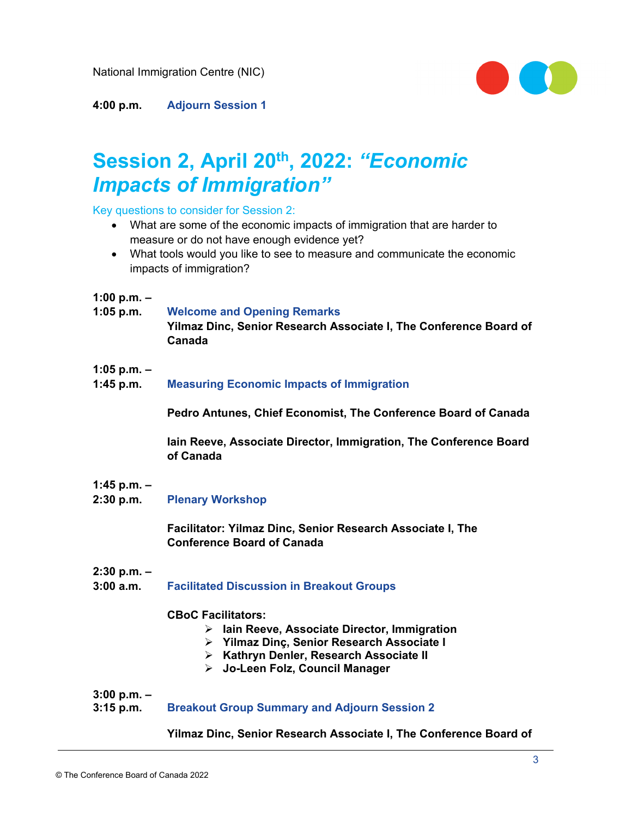National Immigration Centre (NIC)



**4:00 p.m. Adjourn Session 1**

## **Session 2, April 20th, 2022:** *"Economic Impacts of Immigration"*

Key questions to consider for Session 2:

- What are some of the economic impacts of immigration that are harder to measure or do not have enough evidence yet?
- What tools would you like to see to measure and communicate the economic impacts of immigration?

#### **1:00 p.m. –**

**1:05 p.m. Welcome and Opening Remarks** 

**Yilmaz Dinc, Senior Research Associate I, The Conference Board of Canada**

#### **1:05 p.m. –**

**1:45 p.m. Measuring Economic Impacts of Immigration**

**Pedro Antunes, Chief Economist, The Conference Board of Canada**

**Iain Reeve, Associate Director, Immigration, The Conference Board of Canada**

#### **1:45 p.m. –**

**2:30 p.m. Plenary Workshop** 

**Facilitator: Yilmaz Dinc, Senior Research Associate I, The Conference Board of Canada**

#### **2:30 p.m. –**

**3:00 a.m. Facilitated Discussion in Breakout Groups**

#### **CBoC Facilitators:**

- **Iain Reeve, Associate Director, Immigration**
- **Yilmaz Dinç, Senior Research Associate I**
- **Kathryn Denler, Research Associate II**
- **Jo-Leen Folz, Council Manager**

#### **3:00 p.m. –**

**3:15 p.m. Breakout Group Summary and Adjourn Session 2**

#### **Yilmaz Dinc, Senior Research Associate I, The Conference Board of**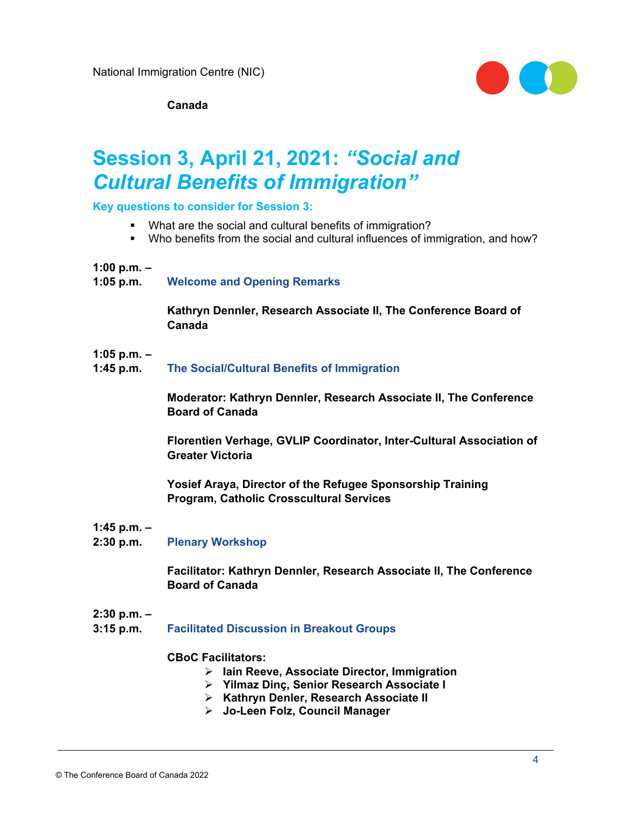

**Canada**

### **Session 3, April 21, 2021:** *"Social and Cultural Benefits of Immigration"*

**Key questions to consider for Session 3:** 

- What are the social and cultural benefits of immigration?
- Who benefits from the social and cultural influences of immigration, and how?

**1:00 p.m. –**

**1:05 p.m. Welcome and Opening Remarks**

**Kathryn Dennler, Research Associate II, The Conference Board of Canada**

#### **1:05 p.m. –**

**1:45 p.m. The Social/Cultural Benefits of Immigration**

**Moderator: Kathryn Dennler, Research Associate II, The Conference Board of Canada**

**Florentien Verhage, GVLIP Coordinator, Inter-Cultural Association of Greater Victoria**

**Yosief Araya, Director of the Refugee Sponsorship Training Program, Catholic Crosscultural Services**

#### **1:45 p.m. –**

**2:30 p.m. Plenary Workshop** 

**Facilitator: Kathryn Dennler, Research Associate II, The Conference Board of Canada**

#### **2:30 p.m. –**

**3:15 p.m. Facilitated Discussion in Breakout Groups**

#### **CBoC Facilitators:**

- **Iain Reeve, Associate Director, Immigration**
- **Yilmaz Dinç, Senior Research Associate I**
- **Kathryn Denler, Research Associate II**
- **Jo-Leen Folz, Council Manager**